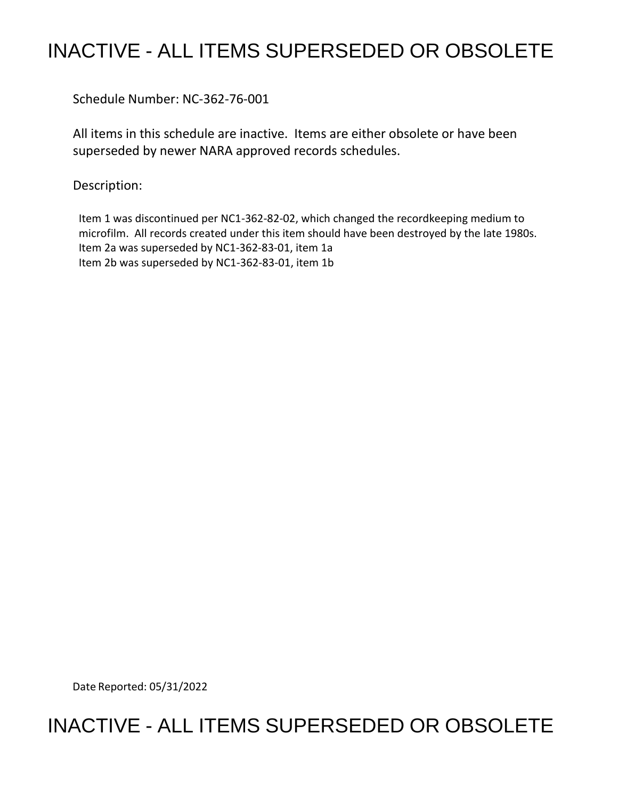## INACTIVE - ALL ITEMS SUPERSEDED OR OBSOLETE

Schedule Number: NC-362-76-001

 All items in this schedule are inactive. Items are either obsolete or have been superseded by newer NARA approved records schedules.

Description:

 Item 1 was discontinued per NC1-362-82-02, which changed the recordkeeping medium to microfilm. All records created under this item should have been destroyed by the late 1980s. Item 2a was superseded by NC1-362-83-01, item 1a Item 2b was superseded by NC1-362-83-01, item 1b

Date Reported: 05/31/2022

## INACTIVE - ALL ITEMS SUPERSEDED OR OBSOLETE